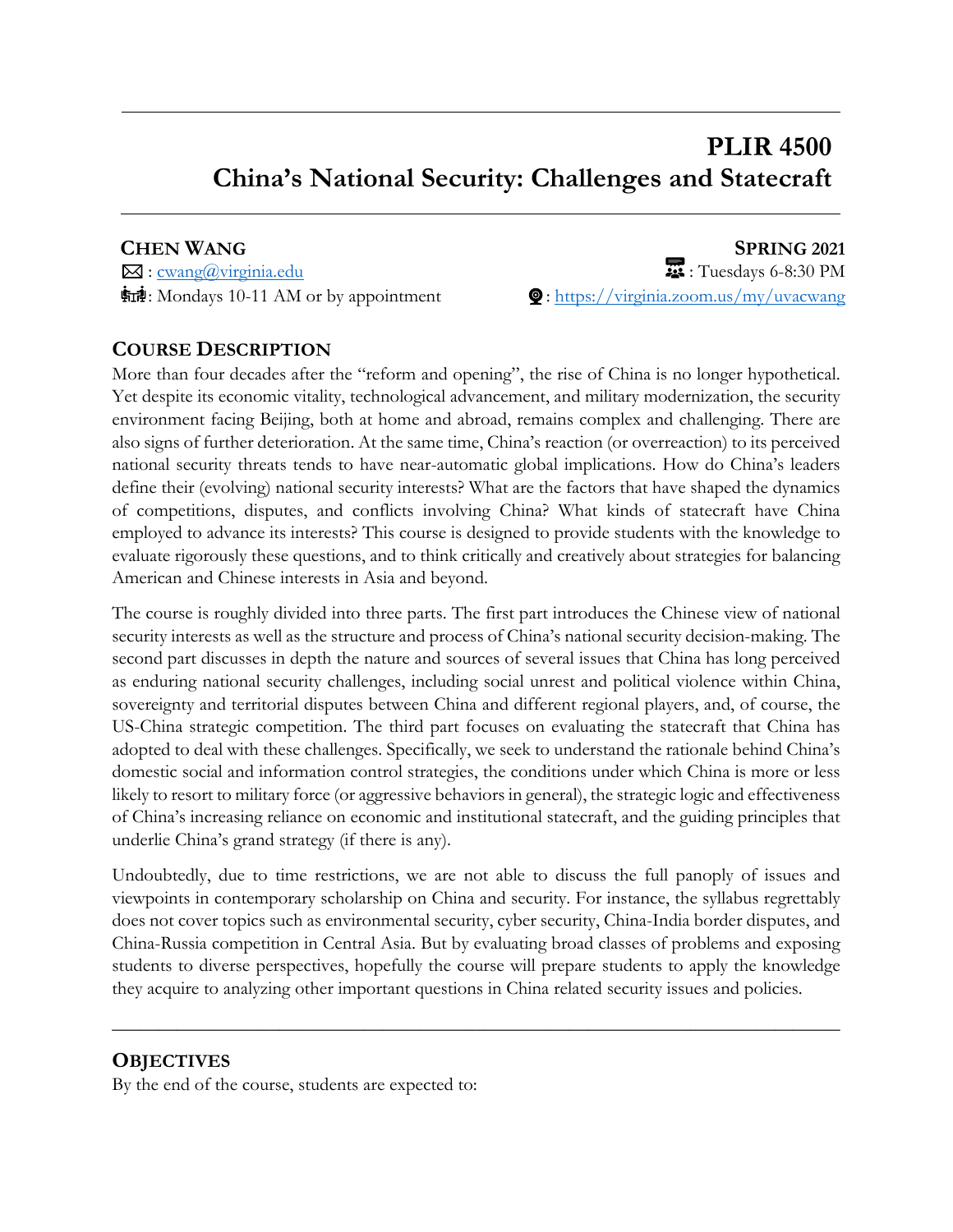# **PLIR 4500 China's National Security: Challenges and Statecraft**

**CHEN WANG SPRING 2021**  $\boxtimes$ : <u>cwang@virginia.edu</u> : Tuesdays 6-8:30 PM FITH: Mondays 10-11 AM or by appointment  $\mathbf{\mathcal{Q}}$ : https://virginia.zoom.us/my/uvacwang

## **COURSE DESCRIPTION**

More than four decades after the "reform and opening", the rise of China is no longer hypothetical. Yet despite its economic vitality, technological advancement, and military modernization, the security environment facing Beijing, both at home and abroad, remains complex and challenging. There are also signs of further deterioration. At the same time, China's reaction (or overreaction) to its perceived national security threats tends to have near-automatic global implications. How do China's leaders define their (evolving) national security interests? What are the factors that have shaped the dynamics of competitions, disputes, and conflicts involving China? What kinds of statecraft have China employed to advance its interests? This course is designed to provide students with the knowledge to evaluate rigorously these questions, and to think critically and creatively about strategies for balancing American and Chinese interests in Asia and beyond.

The course is roughly divided into three parts. The first part introduces the Chinese view of national security interests as well as the structure and process of China's national security decision-making. The second part discusses in depth the nature and sources of several issues that China has long perceived as enduring national security challenges, including social unrest and political violence within China, sovereignty and territorial disputes between China and different regional players, and, of course, the US-China strategic competition. The third part focuses on evaluating the statecraft that China has adopted to deal with these challenges. Specifically, we seek to understand the rationale behind China's domestic social and information control strategies, the conditions under which China is more or less likely to resort to military force (or aggressive behaviors in general), the strategic logic and effectiveness of China's increasing reliance on economic and institutional statecraft, and the guiding principles that underlie China's grand strategy (if there is any).

Undoubtedly, due to time restrictions, we are not able to discuss the full panoply of issues and viewpoints in contemporary scholarship on China and security. For instance, the syllabus regrettably does not cover topics such as environmental security, cyber security, China-India border disputes, and China-Russia competition in Central Asia. But by evaluating broad classes of problems and exposing students to diverse perspectives, hopefully the course will prepare students to apply the knowledge they acquire to analyzing other important questions in China related security issues and policies.

**\_\_\_\_\_\_\_\_\_\_\_\_\_\_\_\_\_\_\_\_\_\_\_\_\_\_\_\_\_\_\_\_\_\_\_\_\_\_\_\_\_\_\_\_\_\_\_\_\_\_\_\_\_\_\_\_\_\_\_\_\_\_\_\_\_\_\_\_\_\_\_\_\_\_\_\_\_\_**

## **OBJECTIVES**

By the end of the course, students are expected to: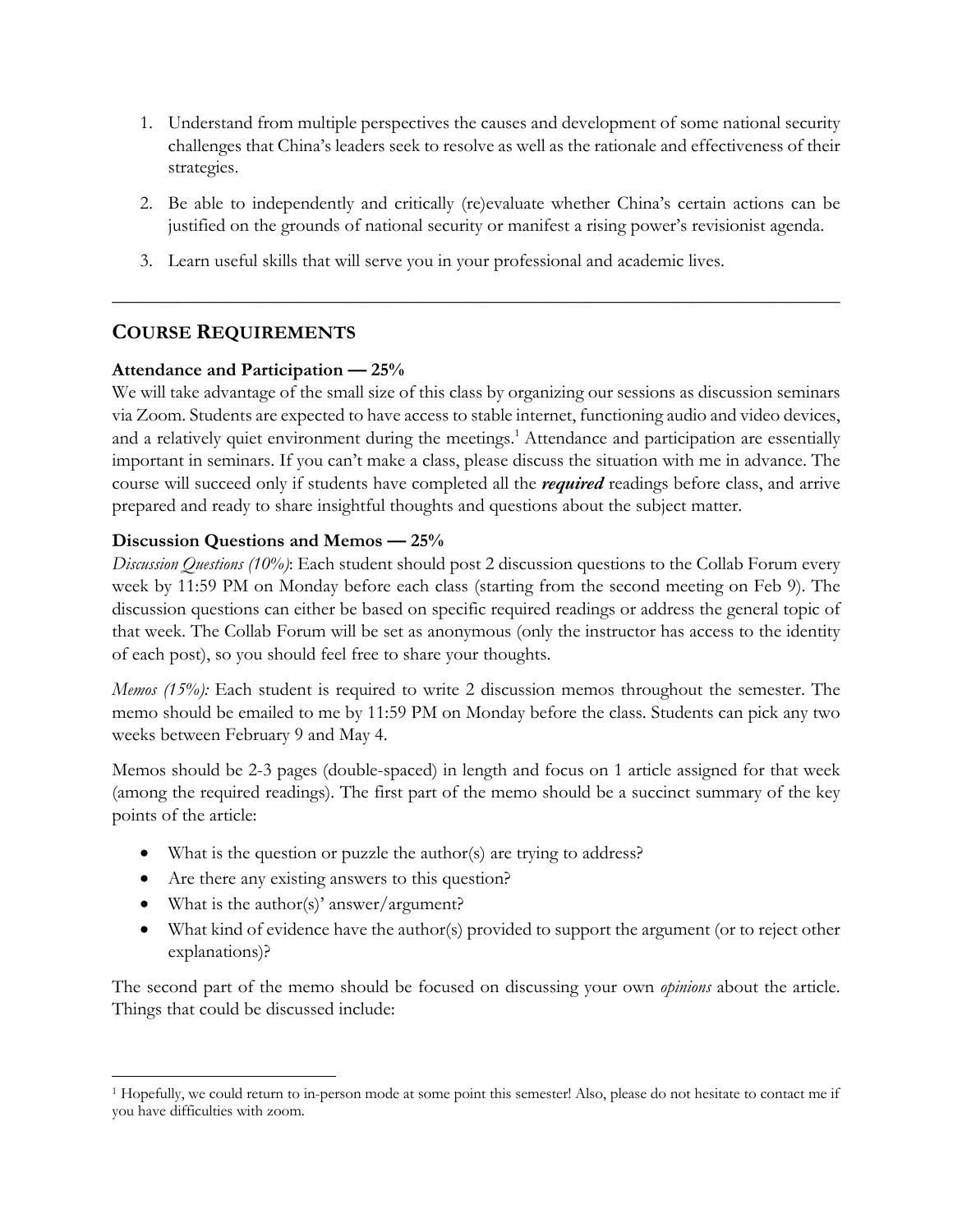- 1. Understand from multiple perspectives the causes and development of some national security challenges that China's leaders seek to resolve as well as the rationale and effectiveness of their strategies.
- 2. Be able to independently and critically (re)evaluate whether China's certain actions can be justified on the grounds of national security or manifest a rising power's revisionist agenda.

\_\_\_\_\_\_\_\_\_\_\_\_\_\_\_\_\_\_\_\_\_\_\_\_\_\_\_\_\_\_\_\_\_\_\_\_\_\_\_\_\_\_\_\_\_\_\_\_\_\_\_\_\_\_\_\_\_\_\_\_\_\_\_\_\_\_\_\_\_\_\_\_\_\_\_\_\_\_

3. Learn useful skills that will serve you in your professional and academic lives.

## **COURSE REQUIREMENTS**

## **Attendance and Participation — 25%**

We will take advantage of the small size of this class by organizing our sessions as discussion seminars via Zoom. Students are expected to have access to stable internet, functioning audio and video devices, and a relatively quiet environment during the meetings.<sup>1</sup> Attendance and participation are essentially important in seminars. If you can't make a class, please discuss the situation with me in advance. The course will succeed only if students have completed all the *required* readings before class, and arrive prepared and ready to share insightful thoughts and questions about the subject matter.

## **Discussion Questions and Memos — 25%**

*Discussion Questions (10%)*: Each student should post 2 discussion questions to the Collab Forum every week by 11:59 PM on Monday before each class (starting from the second meeting on Feb 9). The discussion questions can either be based on specific required readings or address the general topic of that week. The Collab Forum will be set as anonymous (only the instructor has access to the identity of each post), so you should feel free to share your thoughts.

*Memos (15%):* Each student is required to write 2 discussion memos throughout the semester. The memo should be emailed to me by 11:59 PM on Monday before the class. Students can pick any two weeks between February 9 and May 4.

Memos should be 2-3 pages (double-spaced) in length and focus on 1 article assigned for that week (among the required readings). The first part of the memo should be a succinct summary of the key points of the article:

- What is the question or puzzle the author(s) are trying to address?
- Are there any existing answers to this question?
- What is the author(s)' answer/argument?
- What kind of evidence have the author(s) provided to support the argument (or to reject other explanations)?

The second part of the memo should be focused on discussing your own *opinions* about the article. Things that could be discussed include:

<sup>1</sup> Hopefully, we could return to in-person mode at some point this semester! Also, please do not hesitate to contact me if you have difficulties with zoom.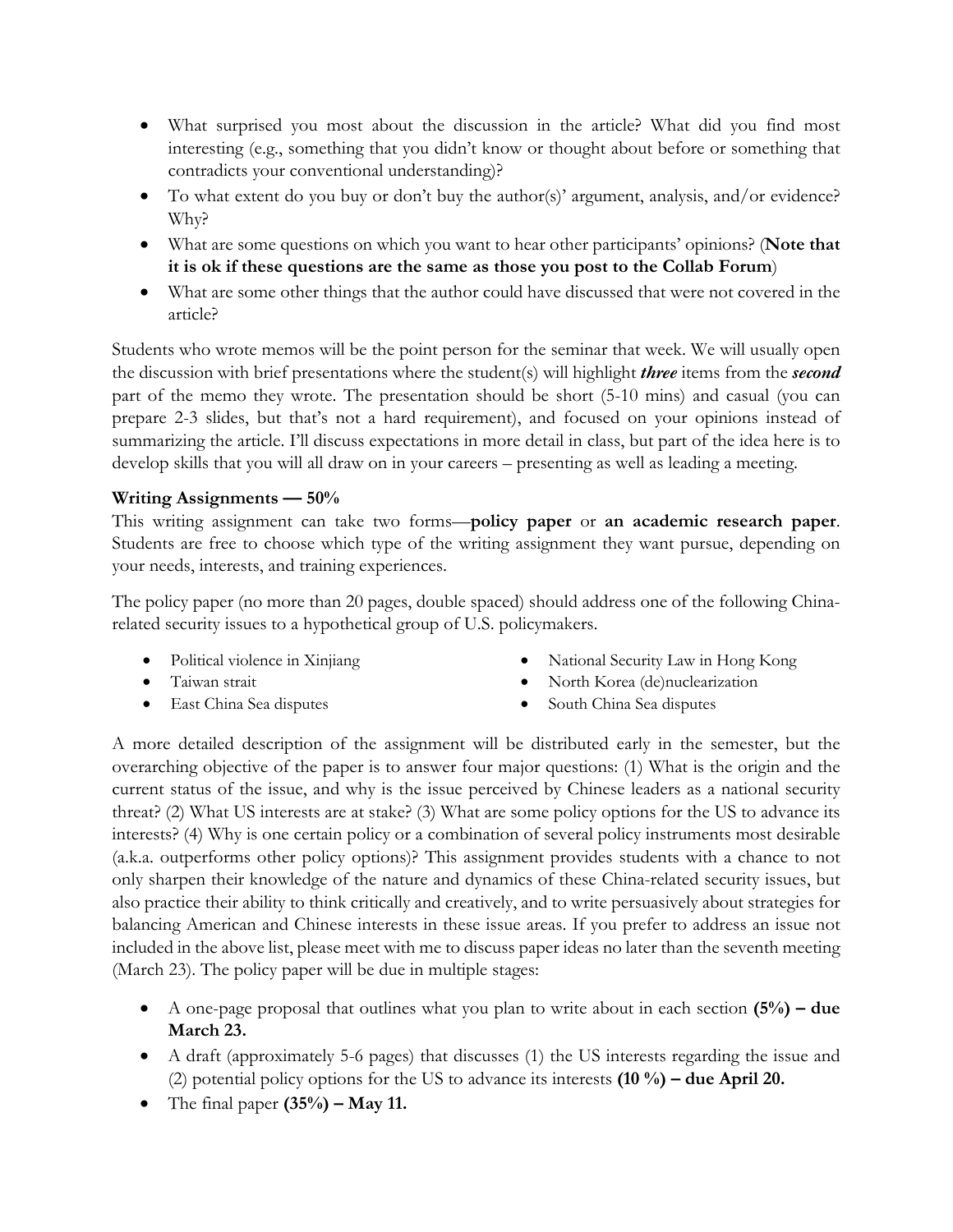- What surprised you most about the discussion in the article? What did you find most interesting (e.g., something that you didn't know or thought about before or something that contradicts your conventional understanding)?
- To what extent do you buy or don't buy the author(s)' argument, analysis, and/or evidence? Why?
- What are some questions on which you want to hear other participants' opinions? (**Note that it is ok if these questions are the same as those you post to the Collab Forum**)
- What are some other things that the author could have discussed that were not covered in the article?

Students who wrote memos will be the point person for the seminar that week. We will usually open the discussion with brief presentations where the student(s) will highlight *three* items from the *second*  part of the memo they wrote. The presentation should be short (5-10 mins) and casual (you can prepare 2-3 slides, but that's not a hard requirement), and focused on your opinions instead of summarizing the article. I'll discuss expectations in more detail in class, but part of the idea here is to develop skills that you will all draw on in your careers – presenting as well as leading a meeting.

## **Writing Assignments — 50%**

This writing assignment can take two forms—**policy paper** or **an academic research paper**. Students are free to choose which type of the writing assignment they want pursue, depending on your needs, interests, and training experiences.

The policy paper (no more than 20 pages, double spaced) should address one of the following Chinarelated security issues to a hypothetical group of U.S. policymakers.

- 
- Political violence in Xinjiang National Security Law in Hong Kong
- 
- 
- Taiwan strait 1999 North Korea (de)nuclearization
- East China Sea disputes South China Sea disputes

A more detailed description of the assignment will be distributed early in the semester, but the overarching objective of the paper is to answer four major questions: (1) What is the origin and the current status of the issue, and why is the issue perceived by Chinese leaders as a national security threat? (2) What US interests are at stake? (3) What are some policy options for the US to advance its interests? (4) Why is one certain policy or a combination of several policy instruments most desirable (a.k.a. outperforms other policy options)? This assignment provides students with a chance to not only sharpen their knowledge of the nature and dynamics of these China-related security issues, but also practice their ability to think critically and creatively, and to write persuasively about strategies for balancing American and Chinese interests in these issue areas. If you prefer to address an issue not included in the above list, please meet with me to discuss paper ideas no later than the seventh meeting (March 23). The policy paper will be due in multiple stages:

- A one-page proposal that outlines what you plan to write about in each section **(5%) – due March 23.**
- A draft (approximately 5-6 pages) that discusses (1) the US interests regarding the issue and (2) potential policy options for the US to advance its interests **(10 %) – due April 20.**
- The final paper **(35%) – May 11.**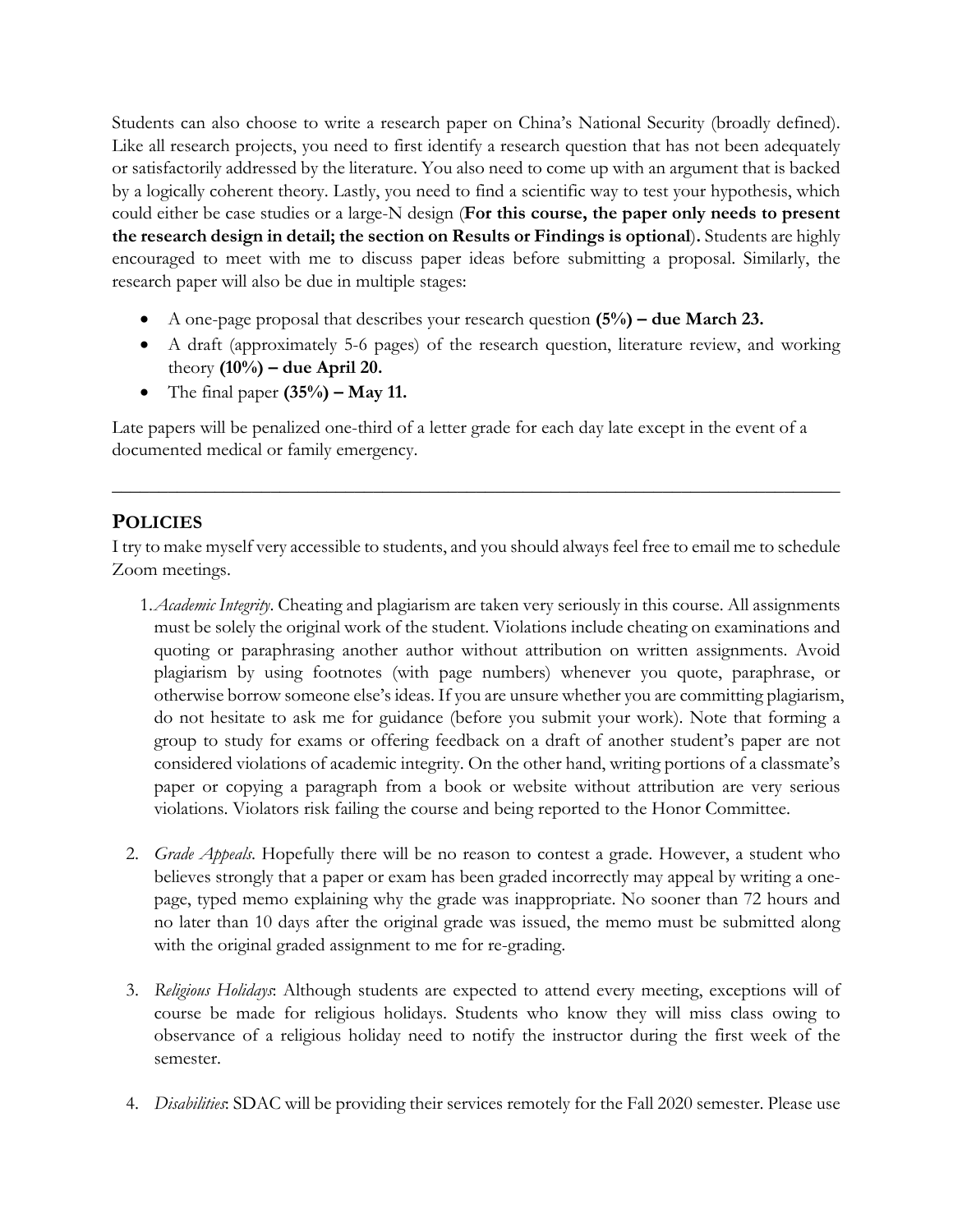Students can also choose to write a research paper on China's National Security (broadly defined). Like all research projects, you need to first identify a research question that has not been adequately or satisfactorily addressed by the literature. You also need to come up with an argument that is backed by a logically coherent theory. Lastly, you need to find a scientific way to test your hypothesis, which could either be case studies or a large-N design (**For this course, the paper only needs to present the research design in detail; the section on Results or Findings is optional**)**.** Students are highly encouraged to meet with me to discuss paper ideas before submitting a proposal. Similarly, the research paper will also be due in multiple stages:

- A one-page proposal that describes your research question **(5%) – due March 23.**
- A draft (approximately 5-6 pages) of the research question, literature review, and working theory **(10%) – due April 20.**
- The final paper **(35%) – May 11.**

Late papers will be penalized one-third of a letter grade for each day late except in the event of a documented medical or family emergency.

## **POLICIES**

I try to make myself very accessible to students, and you should always feel free to email me to schedule Zoom meetings.

\_\_\_\_\_\_\_\_\_\_\_\_\_\_\_\_\_\_\_\_\_\_\_\_\_\_\_\_\_\_\_\_\_\_\_\_\_\_\_\_\_\_\_\_\_\_\_\_\_\_\_\_\_\_\_\_\_\_\_\_\_\_\_\_\_\_\_\_\_\_\_\_\_\_\_\_\_\_

- 1.*Academic Integrity*. Cheating and plagiarism are taken very seriously in this course. All assignments must be solely the original work of the student. Violations include cheating on examinations and quoting or paraphrasing another author without attribution on written assignments. Avoid plagiarism by using footnotes (with page numbers) whenever you quote, paraphrase, or otherwise borrow someone else's ideas. If you are unsure whether you are committing plagiarism, do not hesitate to ask me for guidance (before you submit your work). Note that forming a group to study for exams or offering feedback on a draft of another student's paper are not considered violations of academic integrity. On the other hand, writing portions of a classmate's paper or copying a paragraph from a book or website without attribution are very serious violations. Violators risk failing the course and being reported to the Honor Committee.
- 2. *Grade Appeals*. Hopefully there will be no reason to contest a grade. However, a student who believes strongly that a paper or exam has been graded incorrectly may appeal by writing a onepage, typed memo explaining why the grade was inappropriate. No sooner than 72 hours and no later than 10 days after the original grade was issued, the memo must be submitted along with the original graded assignment to me for re-grading.
- 3. *Religious Holidays*: Although students are expected to attend every meeting, exceptions will of course be made for religious holidays. Students who know they will miss class owing to observance of a religious holiday need to notify the instructor during the first week of the semester.
- 4. *Disabilities*: SDAC will be providing their services remotely for the Fall 2020 semester. Please use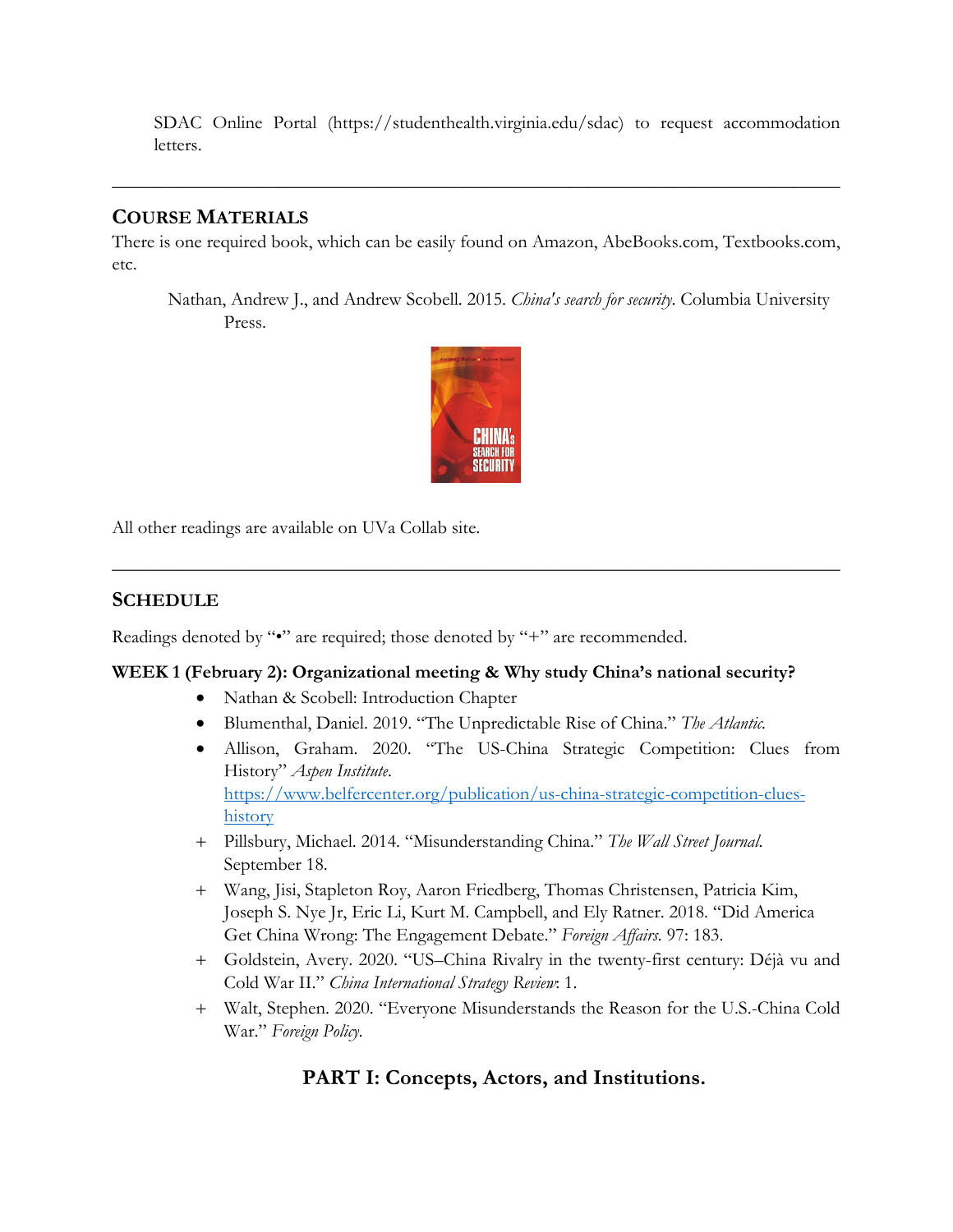SDAC Online Portal (https://studenthealth.virginia.edu/sdac) to request accommodation letters.

## **COURSE MATERIALS**

There is one required book, which can be easily found on Amazon, AbeBooks.com, Textbooks.com, etc.

**\_\_\_\_\_\_\_\_\_\_\_\_\_\_\_\_\_\_\_\_\_\_\_\_\_\_\_\_\_\_\_\_\_\_\_\_\_\_\_\_\_\_\_\_\_\_\_\_\_\_\_\_\_\_\_\_\_\_\_\_\_\_\_\_\_\_\_\_\_\_\_\_\_\_\_\_\_\_**

Nathan, Andrew J., and Andrew Scobell. 2015. *China's search for security*. Columbia University Press.



**\_\_\_\_\_\_\_\_\_\_\_\_\_\_\_\_\_\_\_\_\_\_\_\_\_\_\_\_\_\_\_\_\_\_\_\_\_\_\_\_\_\_\_\_\_\_\_\_\_\_\_\_\_\_\_\_\_\_\_\_\_\_\_\_\_\_\_\_\_\_\_\_\_\_\_\_\_\_**

All other readings are available on UVa Collab site.

## **SCHEDULE**

Readings denoted by "•" are required; those denoted by "+" are recommended.

## **WEEK 1 (February 2): Organizational meeting & Why study China's national security?**

- Nathan & Scobell: Introduction Chapter
- Blumenthal, Daniel. 2019. "The Unpredictable Rise of China." *The Atlantic.*
- Allison, Graham. 2020. "The US-China Strategic Competition: Clues from History" *Aspen Institute*. https://www.belfercenter.org/publication/us-china-strategic-competition-clueshistory
- + Pillsbury, Michael. 2014. "Misunderstanding China." *The Wall Street Journal*. September 18.
- + Wang, Jisi, Stapleton Roy, Aaron Friedberg, Thomas Christensen, Patricia Kim, Joseph S. Nye Jr, Eric Li, Kurt M. Campbell, and Ely Ratner. 2018. "Did America Get China Wrong: The Engagement Debate." *Foreign Affairs.* 97: 183.
- + Goldstein, Avery. 2020. "US–China Rivalry in the twenty-first century: Déjà vu and Cold War II." *China International Strategy Review*: 1.
- + Walt, Stephen. 2020. "Everyone Misunderstands the Reason for the U.S.-China Cold War." *Foreign Policy.*

## **PART I: Concepts, Actors, and Institutions.**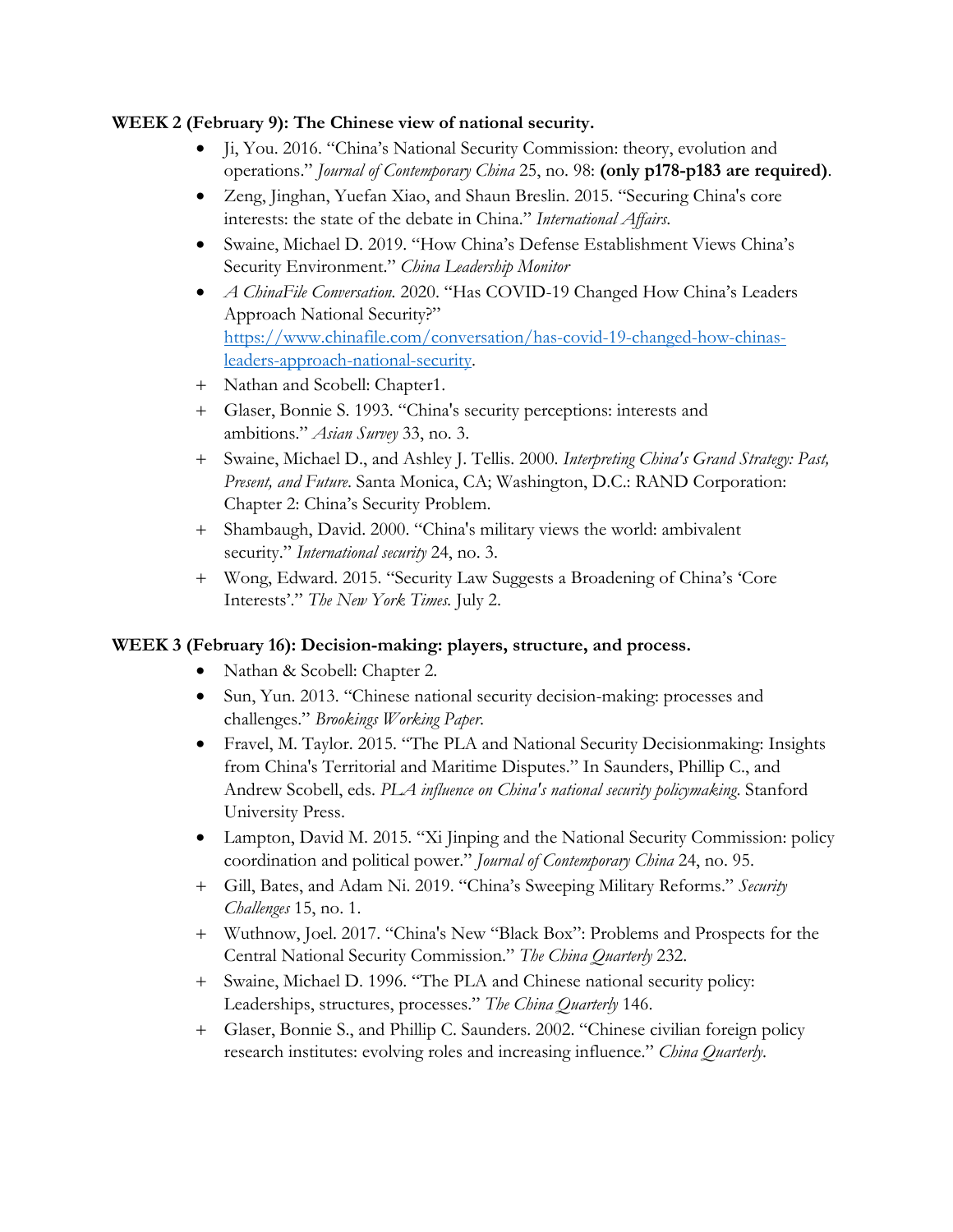#### **WEEK 2 (February 9): The Chinese view of national security.**

- Ji, You. 2016. "China's National Security Commission: theory, evolution and operations." *Journal of Contemporary China* 25, no. 98: **(only p178-p183 are required)**.
- Zeng, Jinghan, Yuefan Xiao, and Shaun Breslin. 2015. "Securing China's core interests: the state of the debate in China." *International Affairs*.
- Swaine, Michael D. 2019. "How China's Defense Establishment Views China's Security Environment." *China Leadership Monitor*
- *A ChinaFile Conversation.* 2020. "Has COVID-19 Changed How China's Leaders Approach National Security?" https://www.chinafile.com/conversation/has-covid-19-changed-how-chinasleaders-approach-national-security.
- + Nathan and Scobell: Chapter1.
- + Glaser, Bonnie S. 1993. "China's security perceptions: interests and ambitions." *Asian Survey* 33, no. 3.
- + Swaine, Michael D., and Ashley J. Tellis. 2000. *Interpreting China's Grand Strategy: Past, Present, and Future*. Santa Monica, CA; Washington, D.C.: RAND Corporation: Chapter 2: China's Security Problem.
- + Shambaugh, David. 2000. "China's military views the world: ambivalent security." *International security* 24, no. 3.
- + Wong, Edward. 2015. "Security Law Suggests a Broadening of China's 'Core Interests'." *The New York Times.* July 2.

## **WEEK 3 (February 16): Decision-making: players, structure, and process.**

- Nathan & Scobell: Chapter 2.
- Sun, Yun. 2013. "Chinese national security decision-making: processes and challenges." *Brookings Working Paper*.
- Fravel, M. Taylor. 2015. "The PLA and National Security Decisionmaking: Insights from China's Territorial and Maritime Disputes." In Saunders, Phillip C., and Andrew Scobell, eds. *PLA influence on China's national security policymaking*. Stanford University Press.
- Lampton, David M. 2015. "Xi Jinping and the National Security Commission: policy coordination and political power." *Journal of Contemporary China* 24, no. 95.
- + Gill, Bates, and Adam Ni. 2019. "China's Sweeping Military Reforms." *Security Challenges* 15, no. 1.
- + Wuthnow, Joel. 2017. "China's New "Black Box": Problems and Prospects for the Central National Security Commission." *The China Quarterly* 232.
- + Swaine, Michael D. 1996. "The PLA and Chinese national security policy: Leaderships, structures, processes." *The China Quarterly* 146.
- + Glaser, Bonnie S., and Phillip C. Saunders. 2002. "Chinese civilian foreign policy research institutes: evolving roles and increasing influence." *China Quarterly*.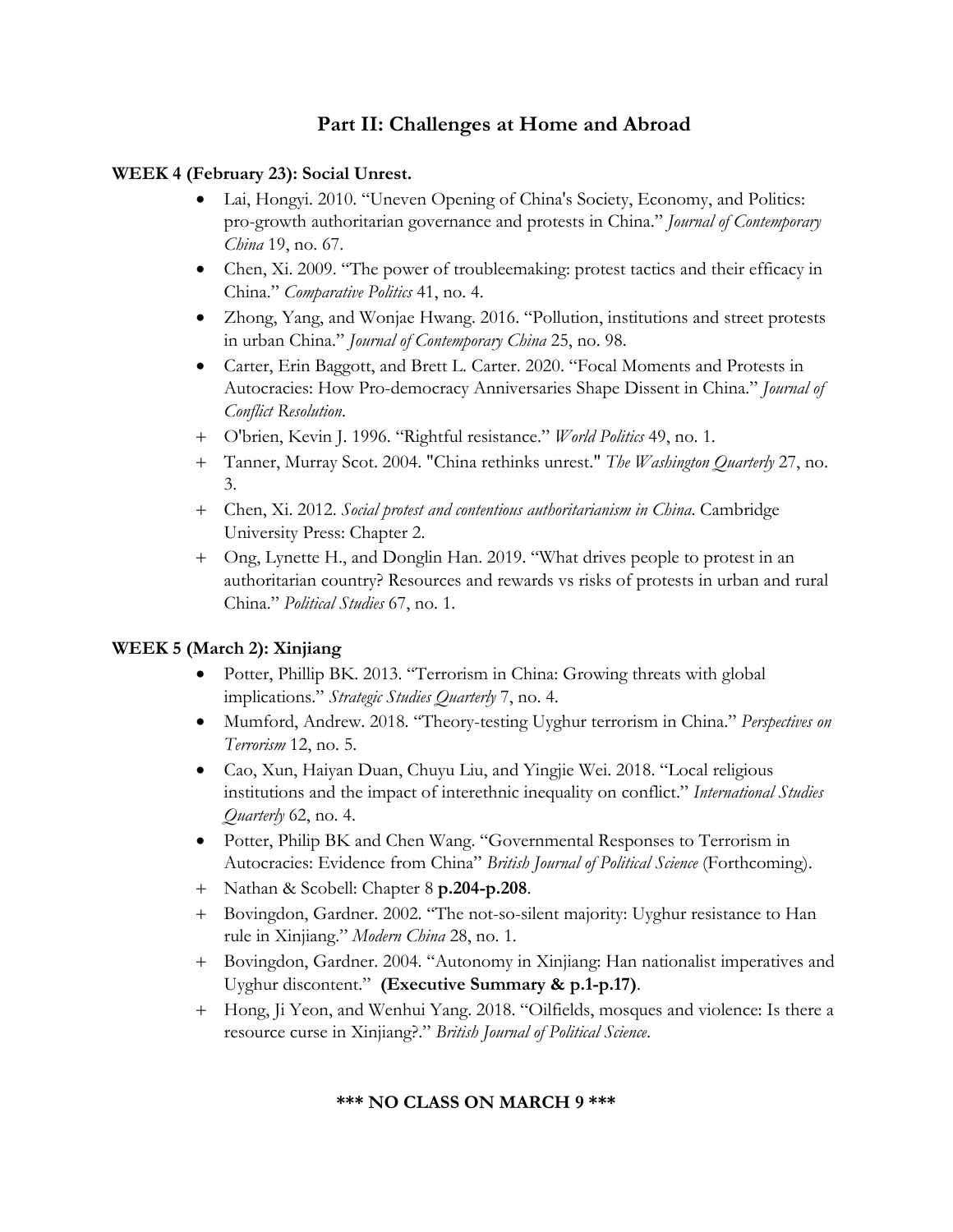## **Part II: Challenges at Home and Abroad**

#### **WEEK 4 (February 23): Social Unrest.**

- Lai, Hongyi. 2010. "Uneven Opening of China's Society, Economy, and Politics: pro-growth authoritarian governance and protests in China." *Journal of Contemporary China* 19, no. 67.
- Chen, Xi. 2009. "The power of troubleemaking: protest tactics and their efficacy in China." *Comparative Politics* 41, no. 4.
- Zhong, Yang, and Wonjae Hwang. 2016. "Pollution, institutions and street protests in urban China." *Journal of Contemporary China* 25, no. 98.
- Carter, Erin Baggott, and Brett L. Carter. 2020. "Focal Moments and Protests in Autocracies: How Pro-democracy Anniversaries Shape Dissent in China." *Journal of Conflict Resolution*.
- + O'brien, Kevin J. 1996. "Rightful resistance." *World Politics* 49, no. 1.
- + Tanner, Murray Scot. 2004. "China rethinks unrest." *The Washington Quarterly* 27, no. 3.
- + Chen, Xi. 2012. *Social protest and contentious authoritarianism in China*. Cambridge University Press: Chapter 2.
- + Ong, Lynette H., and Donglin Han. 2019. "What drives people to protest in an authoritarian country? Resources and rewards vs risks of protests in urban and rural China." *Political Studies* 67, no. 1.

## **WEEK 5 (March 2): Xinjiang**

- Potter, Phillip BK. 2013. "Terrorism in China: Growing threats with global implications." *Strategic Studies Quarterly* 7, no. 4.
- Mumford, Andrew. 2018. "Theory-testing Uyghur terrorism in China." *Perspectives on Terrorism* 12, no. 5.
- Cao, Xun, Haiyan Duan, Chuyu Liu, and Yingjie Wei. 2018. "Local religious institutions and the impact of interethnic inequality on conflict." *International Studies Quarterly* 62, no. 4.
- Potter, Philip BK and Chen Wang. "Governmental Responses to Terrorism in Autocracies: Evidence from China" *British Journal of Political Science* (Forthcoming).
- + Nathan & Scobell: Chapter 8 **p.204-p.208**.
- + Bovingdon, Gardner. 2002. "The not-so-silent majority: Uyghur resistance to Han rule in Xinjiang." *Modern China* 28, no. 1.
- + Bovingdon, Gardner. 2004. "Autonomy in Xinjiang: Han nationalist imperatives and Uyghur discontent." **(Executive Summary & p.1-p.17)**.
- + Hong, Ji Yeon, and Wenhui Yang. 2018. "Oilfields, mosques and violence: Is there a resource curse in Xinjiang?." *British Journal of Political Science*.

#### **\*\*\* NO CLASS ON MARCH 9 \*\*\***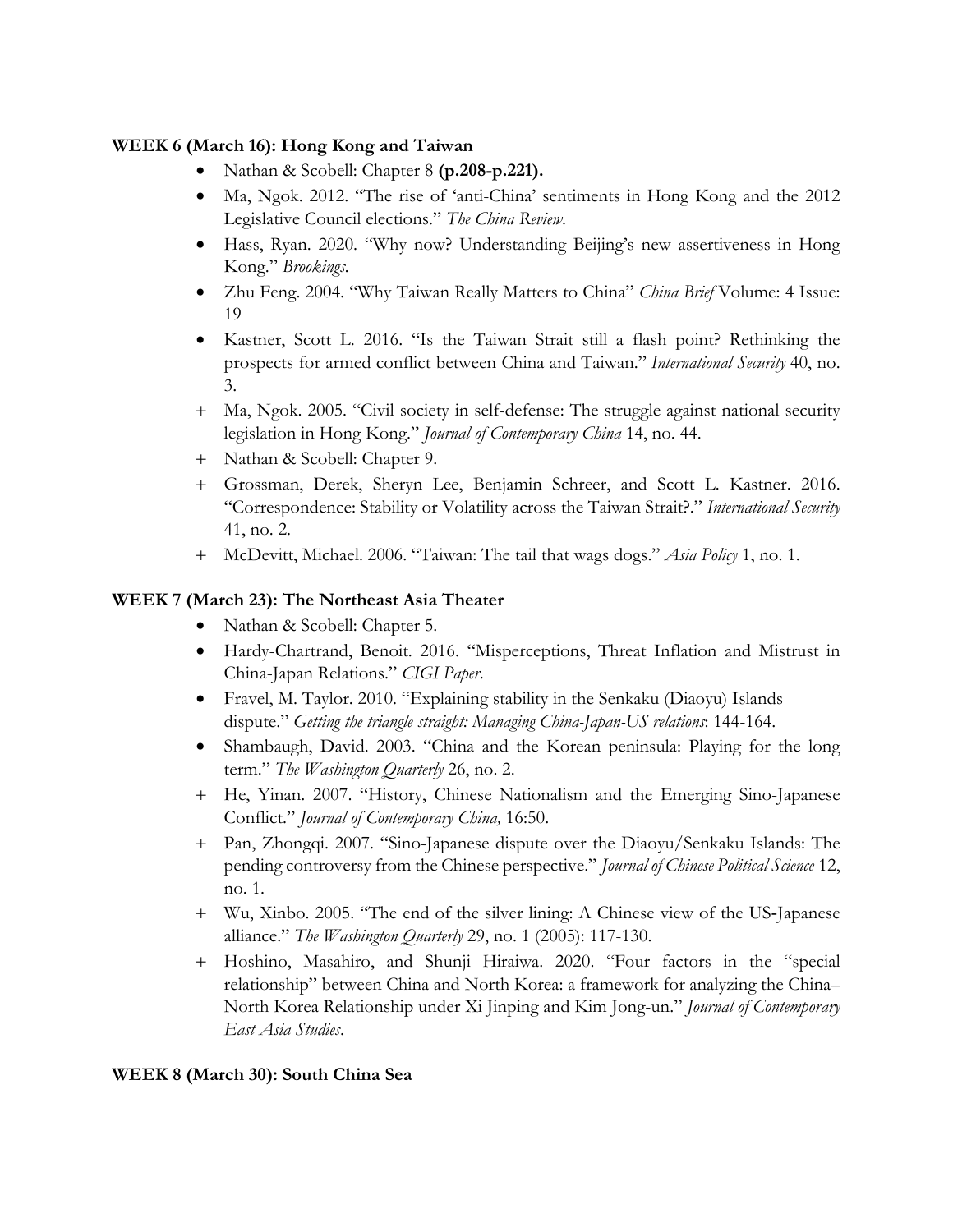## **WEEK 6 (March 16): Hong Kong and Taiwan**

- Nathan & Scobell: Chapter 8 **(p.208-p.221).**
- Ma, Ngok. 2012. "The rise of 'anti-China' sentiments in Hong Kong and the 2012 Legislative Council elections." *The China Review*.
- Hass, Ryan. 2020. "Why now? Understanding Beijing's new assertiveness in Hong Kong." *Brookings.*
- Zhu Feng. 2004. "Why Taiwan Really Matters to China" *China Brief* Volume: 4 Issue: 19
- Kastner, Scott L. 2016. "Is the Taiwan Strait still a flash point? Rethinking the prospects for armed conflict between China and Taiwan." *International Security* 40, no. 3.
- + Ma, Ngok. 2005. "Civil society in self-defense: The struggle against national security legislation in Hong Kong." *Journal of Contemporary China* 14, no. 44.
- + Nathan & Scobell: Chapter 9.
- + Grossman, Derek, Sheryn Lee, Benjamin Schreer, and Scott L. Kastner. 2016. "Correspondence: Stability or Volatility across the Taiwan Strait?." *International Security*  41, no. 2.
- + McDevitt, Michael. 2006. "Taiwan: The tail that wags dogs." *Asia Policy* 1, no. 1.

## **WEEK 7 (March 23): The Northeast Asia Theater**

- Nathan & Scobell: Chapter 5.
- Hardy-Chartrand, Benoit. 2016. "Misperceptions, Threat Inflation and Mistrust in China-Japan Relations." *CIGI Paper*.
- Fravel, M. Taylor. 2010. "Explaining stability in the Senkaku (Diaoyu) Islands dispute." *Getting the triangle straight: Managing China-Japan-US relations*: 144-164.
- Shambaugh, David. 2003. "China and the Korean peninsula: Playing for the long term." *The Washington Quarterly* 26, no. 2.
- + He, Yinan. 2007. "History, Chinese Nationalism and the Emerging Sino-Japanese Conflict." *Journal of Contemporary China,* 16:50.
- + Pan, Zhongqi. 2007. "Sino-Japanese dispute over the Diaoyu/Senkaku Islands: The pending controversy from the Chinese perspective." *Journal of Chinese Political Science* 12, no. 1.
- + Wu, Xinbo. 2005. "The end of the silver lining: A Chinese view of the US‐Japanese alliance." *The Washington Quarterly* 29, no. 1 (2005): 117-130.
- + Hoshino, Masahiro, and Shunji Hiraiwa. 2020. "Four factors in the "special relationship" between China and North Korea: a framework for analyzing the China– North Korea Relationship under Xi Jinping and Kim Jong-un." *Journal of Contemporary East Asia Studies*.

## **WEEK 8 (March 30): South China Sea**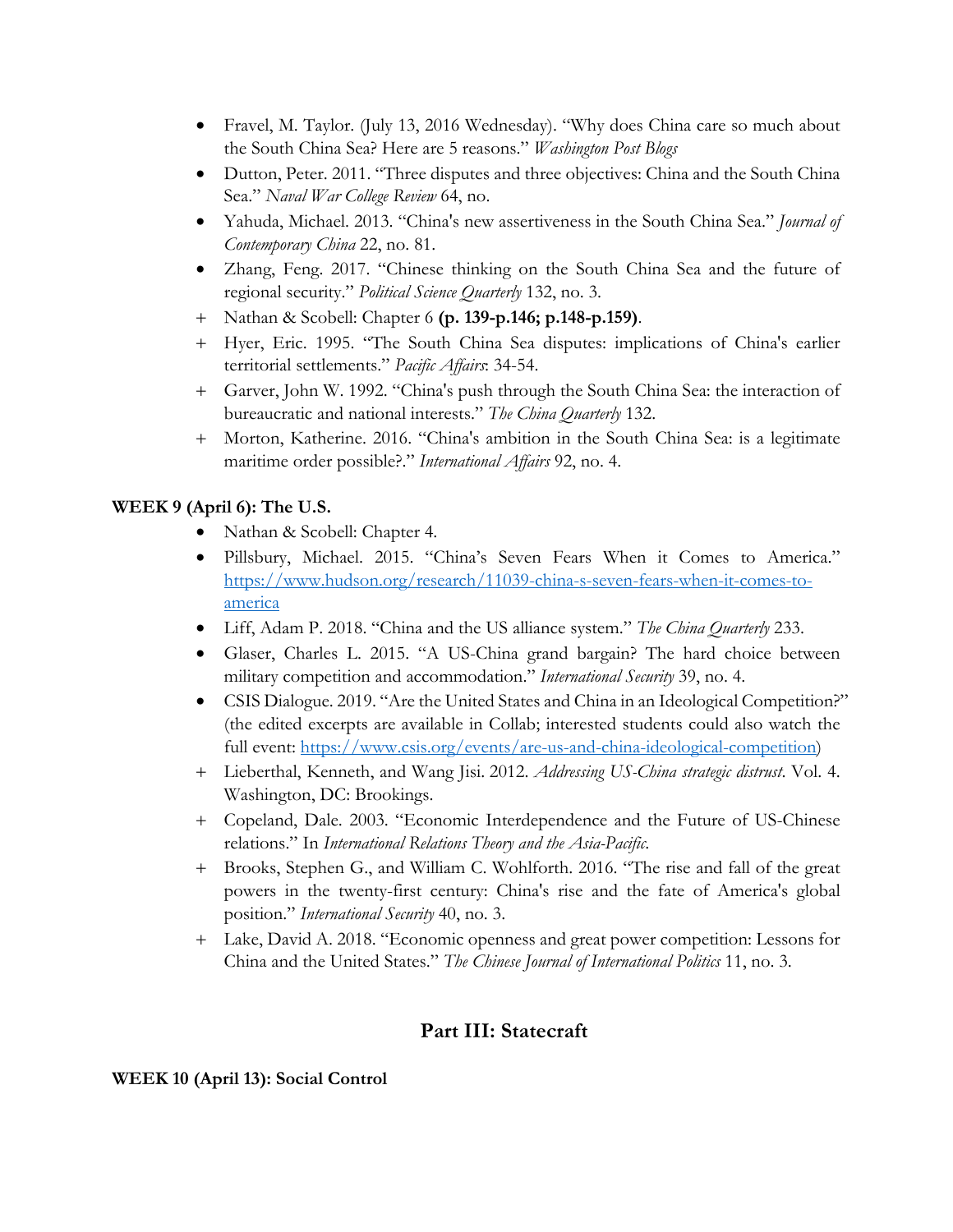- Fravel, M. Taylor. (July 13, 2016 Wednesday). "Why does China care so much about the South China Sea? Here are 5 reasons." *Washington Post Blogs*
- Dutton, Peter. 2011. "Three disputes and three objectives: China and the South China Sea." *Naval War College Review* 64, no.
- Yahuda, Michael. 2013. "China's new assertiveness in the South China Sea." *Journal of Contemporary China* 22, no. 81.
- Zhang, Feng. 2017. "Chinese thinking on the South China Sea and the future of regional security." *Political Science Quarterly* 132, no. 3.
- + Nathan & Scobell: Chapter 6 **(p. 139-p.146; p.148-p.159)**.
- + Hyer, Eric. 1995. "The South China Sea disputes: implications of China's earlier territorial settlements." *Pacific Affairs*: 34-54.
- + Garver, John W. 1992. "China's push through the South China Sea: the interaction of bureaucratic and national interests." *The China Quarterly* 132.
- + Morton, Katherine. 2016. "China's ambition in the South China Sea: is a legitimate maritime order possible?." *International Affairs* 92, no. 4.

## **WEEK 9 (April 6): The U.S.**

- Nathan & Scobell: Chapter 4.
- Pillsbury, Michael. 2015. "China's Seven Fears When it Comes to America." https://www.hudson.org/research/11039-china-s-seven-fears-when-it-comes-toamerica
- Liff, Adam P. 2018. "China and the US alliance system." *The China Quarterly* 233.
- Glaser, Charles L. 2015. "A US-China grand bargain? The hard choice between military competition and accommodation." *International Security* 39, no. 4.
- CSIS Dialogue. 2019. "Are the United States and China in an Ideological Competition?" (the edited excerpts are available in Collab; interested students could also watch the full event: https://www.csis.org/events/are-us-and-china-ideological-competition)
- + Lieberthal, Kenneth, and Wang Jisi. 2012. *Addressing US-China strategic distrust*. Vol. 4. Washington, DC: Brookings.
- + Copeland, Dale. 2003. "Economic Interdependence and the Future of US-Chinese relations." In *International Relations Theory and the Asia-Pacific*.
- + Brooks, Stephen G., and William C. Wohlforth. 2016. "The rise and fall of the great powers in the twenty-first century: China's rise and the fate of America's global position." *International Security* 40, no. 3.
- + Lake, David A. 2018. "Economic openness and great power competition: Lessons for China and the United States." *The Chinese Journal of International Politics* 11, no. 3.

## **Part III: Statecraft**

#### **WEEK 10 (April 13): Social Control**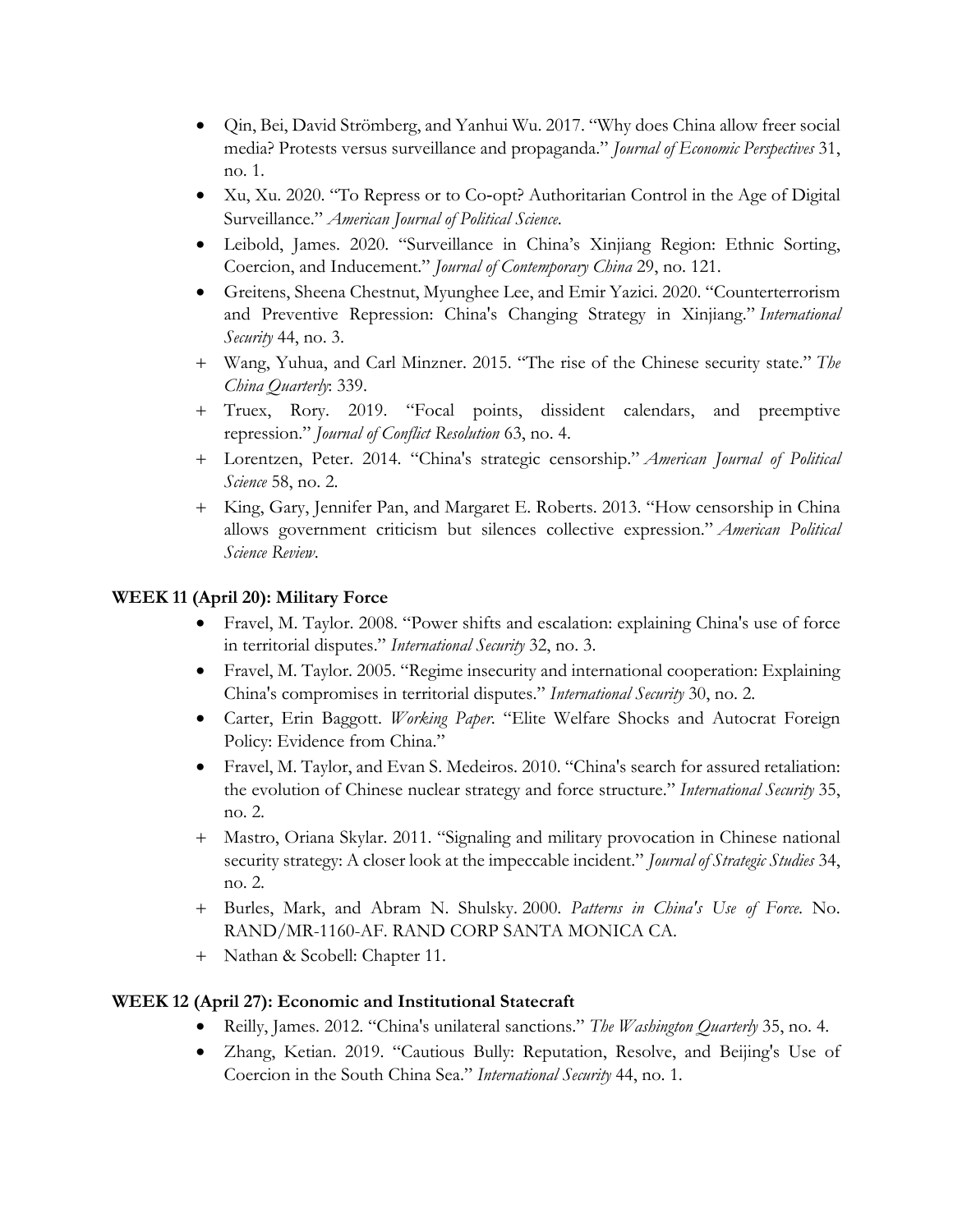- Qin, Bei, David Strömberg, and Yanhui Wu. 2017. "Why does China allow freer social media? Protests versus surveillance and propaganda." *Journal of Economic Perspectives* 31, no. 1.
- Xu, Xu. 2020. "To Repress or to Co‐opt? Authoritarian Control in the Age of Digital Surveillance." *American Journal of Political Science*.
- Leibold, James. 2020. "Surveillance in China's Xinjiang Region: Ethnic Sorting, Coercion, and Inducement." *Journal of Contemporary China* 29, no. 121.
- Greitens, Sheena Chestnut, Myunghee Lee, and Emir Yazici. 2020. "Counterterrorism and Preventive Repression: China's Changing Strategy in Xinjiang." *International Security* 44, no. 3.
- + Wang, Yuhua, and Carl Minzner. 2015. "The rise of the Chinese security state." *The China Quarterly*: 339.
- + Truex, Rory. 2019. "Focal points, dissident calendars, and preemptive repression." *Journal of Conflict Resolution* 63, no. 4.
- + Lorentzen, Peter. 2014. "China's strategic censorship." *American Journal of Political Science* 58, no. 2.
- + King, Gary, Jennifer Pan, and Margaret E. Roberts. 2013. "How censorship in China allows government criticism but silences collective expression." *American Political Science Review*.

## **WEEK 11 (April 20): Military Force**

- Fravel, M. Taylor. 2008. "Power shifts and escalation: explaining China's use of force in territorial disputes." *International Security* 32, no. 3.
- Fravel, M. Taylor. 2005. "Regime insecurity and international cooperation: Explaining China's compromises in territorial disputes." *International Security* 30, no. 2.
- Carter, Erin Baggott. *Working Paper*. "Elite Welfare Shocks and Autocrat Foreign Policy: Evidence from China."
- Fravel, M. Taylor, and Evan S. Medeiros. 2010. "China's search for assured retaliation: the evolution of Chinese nuclear strategy and force structure." *International Security* 35, no. 2.
- + Mastro, Oriana Skylar. 2011. "Signaling and military provocation in Chinese national security strategy: A closer look at the impeccable incident." *Journal of Strategic Studies* 34, no. 2.
- + Burles, Mark, and Abram N. Shulsky. 2000. *Patterns in China's Use of Force*. No. RAND/MR-1160-AF. RAND CORP SANTA MONICA CA.
- + Nathan & Scobell: Chapter 11.

## **WEEK 12 (April 27): Economic and Institutional Statecraft**

- Reilly, James. 2012. "China's unilateral sanctions." *The Washington Quarterly* 35, no. 4.
- Zhang, Ketian. 2019. "Cautious Bully: Reputation, Resolve, and Beijing's Use of Coercion in the South China Sea." *International Security* 44, no. 1.